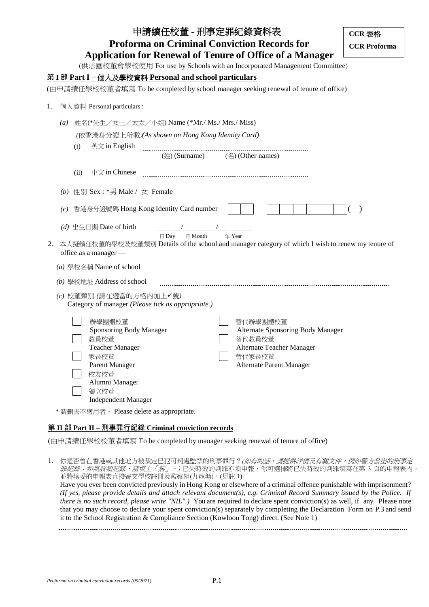| 申請續任校董 - 刑事定罪紀錄資料表                                                                                                                                           | CCR 表格              |  |  |  |
|--------------------------------------------------------------------------------------------------------------------------------------------------------------|---------------------|--|--|--|
| <b>Proforma on Criminal Conviction Records for</b>                                                                                                           | <b>CCR Proforma</b> |  |  |  |
| <b>Application for Renewal of Tenure of Office of a Manager</b>                                                                                              |                     |  |  |  |
| (供法團校董會學校使用 For use by Schools with an Incorporated Management Committee)                                                                                    |                     |  |  |  |
| 第 I 部 Part I - 個人及學校資料 Personal and school particulars                                                                                                       |                     |  |  |  |
| (由申請續任學校校董者填寫 To be completed by school manager seeking renewal of tenure of office)                                                                         |                     |  |  |  |
| 個人資料 Personal particulars:<br>1.                                                                                                                             |                     |  |  |  |
|                                                                                                                                                              |                     |  |  |  |
| 姓名(*先生/女士/太太/小姐) Name (*Mr./ Ms./ Mrs./ Miss)<br>$\left( a\right)$                                                                                           |                     |  |  |  |
| (依香港身分證上所載)(As shown on Hong Kong Identity Card)                                                                                                             |                     |  |  |  |
| 英文 in English<br>(i)                                                                                                                                         |                     |  |  |  |
| $(\frac{4}{12})$ (Surname) (名) (Other names)                                                                                                                 |                     |  |  |  |
| 中文 in Chinese<br>(ii)                                                                                                                                        |                     |  |  |  |
| 性別 Sex : *男 Male / 女 Female<br>(b)                                                                                                                           |                     |  |  |  |
|                                                                                                                                                              |                     |  |  |  |
| 香港身分證號碼 Hong Kong Identity Card number<br>(c)                                                                                                                |                     |  |  |  |
| (d) 出生日期 Date of birth                                                                                                                                       |                     |  |  |  |
| $\boxminus$ Day $\qquad \boxminus$ Month<br>年 Year<br>本人擬續任校董的學校及校董類別 Details of the school and manager category of which I wish to renew my tenure of<br>2. |                     |  |  |  |
| office as a manager -                                                                                                                                        |                     |  |  |  |
| (a) 學校名稱 Name of school                                                                                                                                      |                     |  |  |  |
| (b) 學校地址 Address of school                                                                                                                                   |                     |  |  |  |
| (c) 校董類別 (請在適當的方格內加上√號)<br>Category of manager (Please tick as appropriate.)                                                                                 |                     |  |  |  |
| 辦學團體校董                                                                                                                                                       |                     |  |  |  |
| 替代辦學團體校董<br>Sponsoring Body Manager<br>Alternate Sponsoring Body Manager                                                                                     |                     |  |  |  |
| 替代教員校董<br>教員校董                                                                                                                                               |                     |  |  |  |
| <b>Teacher Manager</b><br>Alternate Teacher Manager<br>家長校董                                                                                                  |                     |  |  |  |
| 替代家長校董<br>Parent Manager<br>Alternate Parent Manager                                                                                                         |                     |  |  |  |
| 校友校董                                                                                                                                                         |                     |  |  |  |
| Alumni Manager                                                                                                                                               |                     |  |  |  |
| 獨立校董<br><b>Independent Manager</b>                                                                                                                           |                     |  |  |  |
| *請刪去不適用者。Please delete as appropriate.                                                                                                                       |                     |  |  |  |
|                                                                                                                                                              |                     |  |  |  |

### **第 II 部 Part II – 刑事罪行紀錄 Criminal conviction records**

(由申請續任學校校董者填寫 To be completed by manager seeking renewal of tenure of office)

1. 你是否曾在香港或其他地方被裁定已犯可判處監禁的刑事罪行?(如有的話,請提供詳情及有關文件,例如警方發出的刑事定 罪紀錄; 如無該類記錄, 請填上「無」。) 已失時效的判罪亦須申報, 你可選擇將已失時效的判罪填寫在第 3 頁的申報表內, 並將填妥的申報表直接寄交學校註冊及監察組(九龍塘)。(見註 1)

Have you ever been convicted previously in Hong Kong or elsewhere of a criminal offence punishable with imprisonment? *(If yes, please provide details and attach relevant document(s), e.g. Criminal Record Summary issued by the Police. If there is no such record, please write "NIL".)* You are required to declare spent conviction(s) as well, if any. Please note that you may choose to declare your spent conviction(s) separately by completing the Declaration Form on P.3 and send it to the School Registration & Compliance Section (Kowloon Tong) direct. (See Note 1)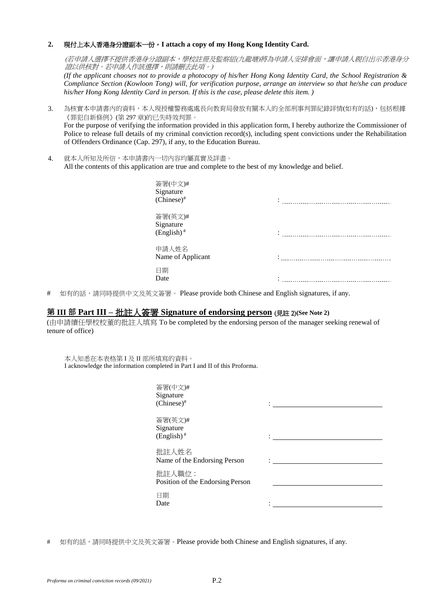#### **2.** 現付上本人香港身分證副本一份。**I attach a copy of my Hong Kong Identity Card.**

(若申請人選擇不提供香港身分證副本,學校註冊及監察組(九龍塘)將為申請人安排會面,讓申請人親自出示香港身分 證以供核對。若申請人作該選擇,則請刪去此項。)

*(If the applicant chooses not to provide a photocopy of his/her Hong Kong Identity Card, the School Registration & Compliance Section (Kowloon Tong) will, for verification purpose, arrange an interview so that he/she can produce his/her Hong Kong Identity Card in person. If this is the case, please delete this item. )*

3. 為核實本申請書內的資料,本人現授權警務處處長向教育局發放有關本人的全部刑事判罪紀錄詳情(如有的話),包括根據 《罪犯自新條例》(第 297 章)的已失時效判罪。

For the purpose of verifying the information provided in this application form, I hereby authorize the Commissioner of Police to release full details of my criminal conviction record(s), including spent convictions under the Rehabilitation of Offenders Ordinance (Cap. 297), if any, to the Education Bureau.

4. 就本人所知及所信,本申請書內一切內容均屬真實及詳盡。 All the contents of this application are true and complete to the best of my knowledge and belief.

| 簽署(中文)#<br>Signature<br>$(Chinese)^*$            |  |
|--------------------------------------------------|--|
| 簽署(英文)#<br>Signature<br>$(English)$ <sup>#</sup> |  |
| 申請人姓名<br>Name of Applicant                       |  |
| 日期<br>Date                                       |  |

# 如有的話,請同時提供中文及英文簽署。 Please provide both Chinese and English signatures, if any.

### **第 III 部 Part III –** 批註人簽署 **Signature of endorsing person** (見註 2)**(See Note 2)**

(由申請續任學校校董的批註人填寫 To be completed by the endorsing person of the manager seeking renewal of tenure of office)

本人知悉在本表格第 I 及 II 部所填寫的資料。 I acknowledge the information completed in Part I and II of this Proforma.

| 簽署(中文)#<br>Signature<br>$(Chinese)^*$      |  |
|--------------------------------------------|--|
| 簽署(英文)#<br>Signature<br>$(English)^*$      |  |
| 批註人姓名<br>Name of the Endorsing Person      |  |
| 批註人職位:<br>Position of the Endorsing Person |  |
| 日期<br>Date                                 |  |

# 如有的話,請同時提供中文及英文簽署。Please provide both Chinese and English signatures, if any.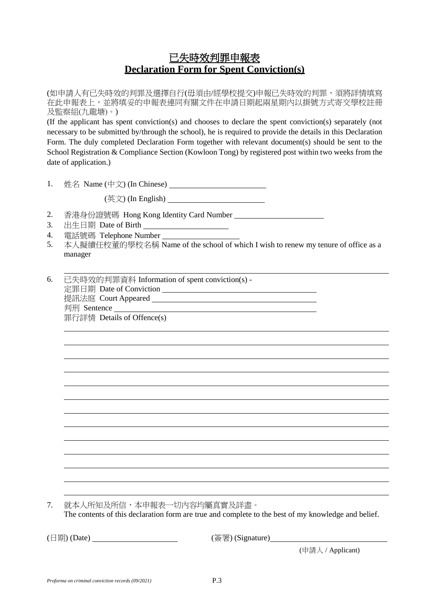# 已失時效判罪申報表 **Declaration Form for Spent Conviction(s)**

(如申請人有已失時效的判罪及選擇自行(毋須由/經學校提交)申報已失時效的判罪,須將詳情填寫 在此申報表上,並將填妥的申報表連同有關文件在申請日期起兩星期內以掛號方式寄交學校註冊 及監察組(九龍塘)。)

(If the applicant has spent conviction(s) and chooses to declare the spent conviction(s) separately (not necessary to be submitted by/through the school), he is required to provide the details in this Declaration Form. The duly completed Declaration Form together with relevant document(s) should be sent to the School Registration & Compliance Section (Kowloon Tong) by registered post within two weeks from the date of application.)

1. 姓名 Name (中文) (In Chinese)

(英文) (In English)

- 2. 香港身份證號碼 Hong Kong Identity Card Number
- 3. 出生日期 Date of Birth
- 4. 電話號碼 Telephone Number
- 5. 本人擬續任校董的學校名稱 Name of the school of which I wish to renew my tenure of office as a manager

6. 已失時效的判罪資料 Information of spent conviction(s) - 定罪日期 Date of Conviction 提訊法庭 Court Appeared 判刑 Sentence 罪行詳情 Details of Offence(s)

7. 就本人所知及所信,本申報表一切內容均屬真實及詳盡。

The contents of this declaration form are true and complete to the best of my knowledge and belief.

(日期) (Date) (簽署) (Signature)

(申請人 / Applicant)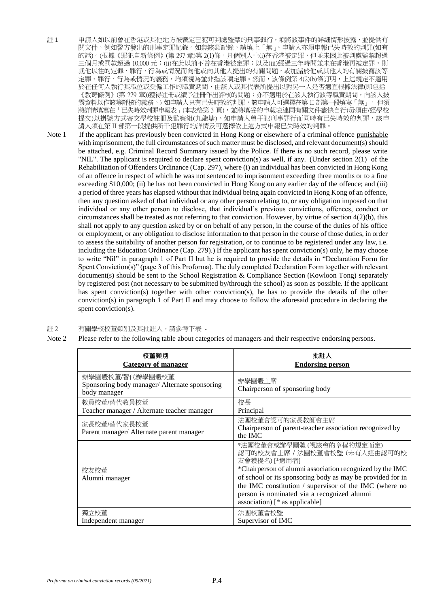- 註 1 申請人如以前曾在香港或其他地方被裁定已犯可判處監禁的刑事罪行,須將該事件的詳細情形披露,並提供有 關文件,例如警方發出的刑事定罪紀錄。如無該類記錄,請填上「無」。申請人亦須申報已失時效的判罪(如有 的話)。(根據《罪犯自新條例》(第297章)第 2(1)條,凡個別人士(i)在香港被定罪,但並未因此被判處監禁超過 三個月或罰款超過 10,000 元;(ii)在此以前不曾在香港被定罪;以及(iii)經過三年時間並未在香港再被定罪,則 就他以往的定罪、罪行、行為或情況而向他或向其他人提出的有關問題,或加諸於他或其他人的有關披露該等 定罪、罪行、行為或情況的義務,均須視為並非指該項定罪。然而,該條例第 4(2)(b)條訂明,上述規定不適用 於在任何人執行其職位或受僱工作的職責期間,由該人或其代表所提出以對另一人是否適宜根據法律(即包括 《教育條例》(第 279 章))獲得註冊或續予註冊作出評核的問題;亦不適用於在該人執行該等職責期間,向該人披 露資料以作該等評核的義務。) 如申請人只有已失時效的判罪,該申請人可選擇在第 II 部第一段填寫「無」, 但須 將詳情填寫在「已失時效判罪申報表」(本表格第3頁),並將填妥的申報表連同有關文件盡快自行(毋須由/經學校 提交)以掛號方式寄交學校註冊及監察組(九龍塘)。如申請人曾干犯刑事罪行而同時有已失時效的判罪,該申 請人須在第 II 部第一段提供所干犯罪行的詳情及可選擇依上述方式申報已失時效的判罪。
- Note 1 If the applicant has previously been convicted in Hong Kong or elsewhere of a criminal offence punishable with imprisonment, the full circumstances of such matter must be disclosed, and relevant document(s) should be attached, e.g. Criminal Record Summary issued by the Police. If there is no such record, please write "NIL". The applicant is required to declare spent conviction(s) as well, if any. (Under section 2(1) of the Rehabilitation of Offenders Ordinance (Cap. 297), where (i) an individual has been convicted in Hong Kong of an offence in respect of which he was not sentenced to imprisonment exceeding three months or to a fine exceeding \$10,000; (ii) he has not been convicted in Hong Kong on any earlier day of the offence; and (iii) a period of three years has elapsed without that individual being again convicted in Hong Kong of an offence, then any question asked of that individual or any other person relating to, or any obligation imposed on that individual or any other person to disclose, that individual's previous convictions, offences, conduct or circumstances shall be treated as not referring to that conviction. However, by virtue of section 4(2)(b), this shall not apply to any question asked by or on behalf of any person, in the course of the duties of his office or employment, or any obligation to disclose information to that person in the course of those duties, in order to assess the suitability of another person for registration, or to continue to be registered under any law, i.e. including the Education Ordinance (Cap. 279).) If the applicant has spent conviction(s) only, he may choose to write "Nil" in paragraph 1 of Part II but he is required to provide the details in "Declaration Form for Spent Conviction(s)" (page 3 of this Proforma). The duly completed Declaration Form together with relevant document(s) should be sent to the School Registration & Compliance Section (Kowloon Tong) separately by registered post (not necessary to be submitted by/through the school) as soon as possible. If the applicant has spent conviction(s) together with other conviction(s), he has to provide the details of the other conviction(s) in paragraph 1 of Part II and may choose to follow the aforesaid procedure in declaring the spent conviction(s).

#### 註 2 有關學校校董類別及其批註人,請參考下表 -

Note 2 Please refer to the following table about categories of managers and their respective endorsing persons.

| 校董類別                                                                             | 批註人                                                                                                                                                                                                                                                                                                                                                |
|----------------------------------------------------------------------------------|----------------------------------------------------------------------------------------------------------------------------------------------------------------------------------------------------------------------------------------------------------------------------------------------------------------------------------------------------|
| <b>Category of manager</b>                                                       | <b>Endorsing person</b>                                                                                                                                                                                                                                                                                                                            |
| 辦學團體校董/替代辦學團體校董<br>Sponsoring body manager/ Alternate sponsoring<br>body manager | 辦學團體主席<br>Chairperson of sponsoring body                                                                                                                                                                                                                                                                                                           |
| 教員校董/替代教員校董                                                                      | 校長                                                                                                                                                                                                                                                                                                                                                 |
| Teacher manager / Alternate teacher manager                                      | Principal                                                                                                                                                                                                                                                                                                                                          |
| 家長校董/替代家長校董<br>Parent manager/ Alternate parent manager                          | 法團校董會認可的家長教師會主席<br>Chairperson of parent-teacher association recognized by<br>the IMC                                                                                                                                                                                                                                                              |
| 校友校董<br>Alumni manager                                                           | *法團校董會或辦學團體(視該會的章程的規定而定)<br>認可的校友會主席 / 法團校董會校監 (未有人經由認可的校<br>友會獲提名) [*適用者]<br>*Chairperson of alumni association recognized by the IMC<br>of school or its sponsoring body as may be provided for in<br>the IMC constitution / supervisor of the IMC (where no<br>person is nominated via a recognized alumni<br>association) [ $*$ as applicable] |
| 獨立校董                                                                             | 法團校董會校監                                                                                                                                                                                                                                                                                                                                            |
| Independent manager                                                              | Supervisor of IMC                                                                                                                                                                                                                                                                                                                                  |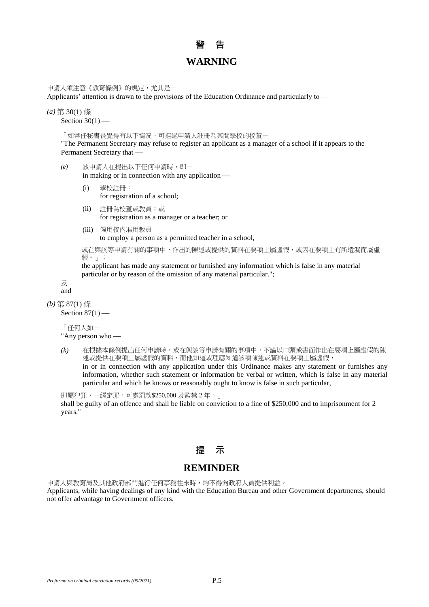# **警 告 WARNING**

申請人須注意《教育條例》的規定,尤其是一

Applicants' attention is drawn to the provisions of the Education Ordinance and particularly to

*(a)* 第 30(1) 條

Section  $30(1)$  —

「如常任秘書長覺得有以下情況,可拒絕申請人註冊為某間學校的校董一

"The Permanent Secretary may refuse to register an applicant as a manager of a school if it appears to the Permanent Secretary that

- *(e)* 該申請人在提出以下任何申請時,即 in making or in connection with any application
	- (i) 學校註冊; for registration of a school;
	- (ii) 註冊為校董或教員;或 for registration as a manager or a teacher; or
	- (iii) 僱用校內准用教員 to employ a person as a permitted teacher in a school,

或在與該等申請有關的事項中,作出的陳述或提供的資料在要項上屬虛假,或因在要項上有所遺漏而屬虛 假。」;

the applicant has made any statement or furnished any information which is false in any material particular or by reason of the omission of any material particular.";

及 and

#### *(b)* 第 87(1) 條 —

Section  $87(1)$  —

「任何人如— "Any person who

*(k)* 在根據本條例提出任何申請時,或在與該等申請有關的事項中,不論以口頭或書面作出在要項上屬虛假的陳 述或提供在要項上屬虛假的資料,而他知道或理應知道該項陳述或資料在要項上屬虛假, in or in connection with any application under this Ordinance makes any statement or furnishes any information, whether such statement or information be verbal or written, which is false in any material particular and which he knows or reasonably ought to know is false in such particular,

即屬犯罪,一經定罪,可處罰款\$250,000 及監禁 2 年。」 shall be guilty of an offence and shall be liable on conviction to a fine of \$250,000 and to imprisonment for 2 years."

## **提 示**

## **REMINDER**

申請人與教育局及其他政府部門進行任何事務往來時,均不得向政府人員提供利益。 Applicants, while having dealings of any kind with the Education Bureau and other Government departments, should not offer advantage to Government officers.